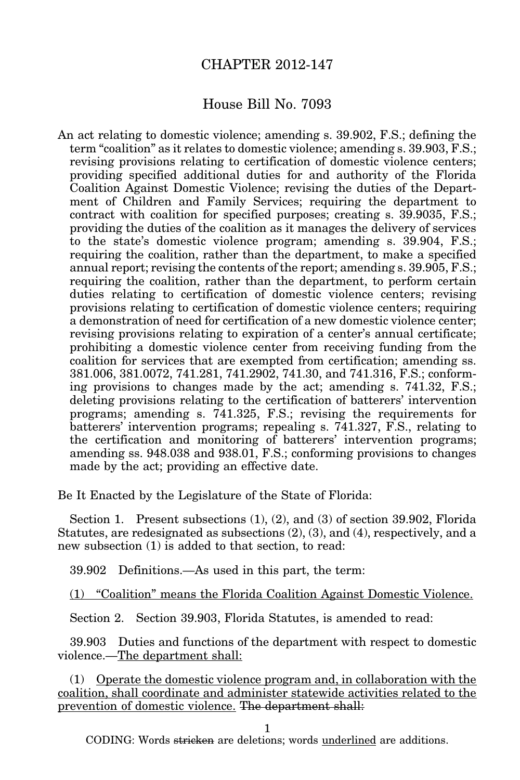## CHAPTER 2012-147

## House Bill No. 7093

An act relating to domestic violence; amending s. 39.902, F.S.; defining the term "coalition" as it relates to domestic violence; amending s. 39.903, F.S.; revising provisions relating to certification of domestic violence centers; providing specified additional duties for and authority of the Florida Coalition Against Domestic Violence; revising the duties of the Department of Children and Family Services; requiring the department to contract with coalition for specified purposes; creating s. 39.9035, F.S.; providing the duties of the coalition as it manages the delivery of services to the state's domestic violence program; amending s. 39.904, F.S.; requiring the coalition, rather than the department, to make a specified annual report; revising the contents of the report; amending s. 39.905, F.S.; requiring the coalition, rather than the department, to perform certain duties relating to certification of domestic violence centers; revising provisions relating to certification of domestic violence centers; requiring a demonstration of need for certification of a new domestic violence center; revising provisions relating to expiration of a center's annual certificate; prohibiting a domestic violence center from receiving funding from the coalition for services that are exempted from certification; amending ss. 381.006, 381.0072, 741.281, 741.2902, 741.30, and 741.316, F.S.; conforming provisions to changes made by the act; amending s. 741.32, F.S.; deleting provisions relating to the certification of batterers' intervention programs; amending s. 741.325, F.S.; revising the requirements for batterers' intervention programs; repealing s. 741.327, F.S., relating to the certification and monitoring of batterers' intervention programs; amending ss. 948.038 and 938.01, F.S.; conforming provisions to changes made by the act; providing an effective date.

Be It Enacted by the Legislature of the State of Florida:

Section 1. Present subsections (1), (2), and (3) of section 39.902, Florida Statutes, are redesignated as subsections (2), (3), and (4), respectively, and a new subsection (1) is added to that section, to read:

39.902 Definitions.—As used in this part, the term:

(1) "Coalition" means the Florida Coalition Against Domestic Violence.

Section 2. Section 39.903, Florida Statutes, is amended to read:

39.903 Duties and functions of the department with respect to domestic violence.—The department shall:

(1) Operate the domestic violence program and, in collaboration with the coalition, shall coordinate and administer statewide activities related to the prevention of domestic violence. The department shall:

1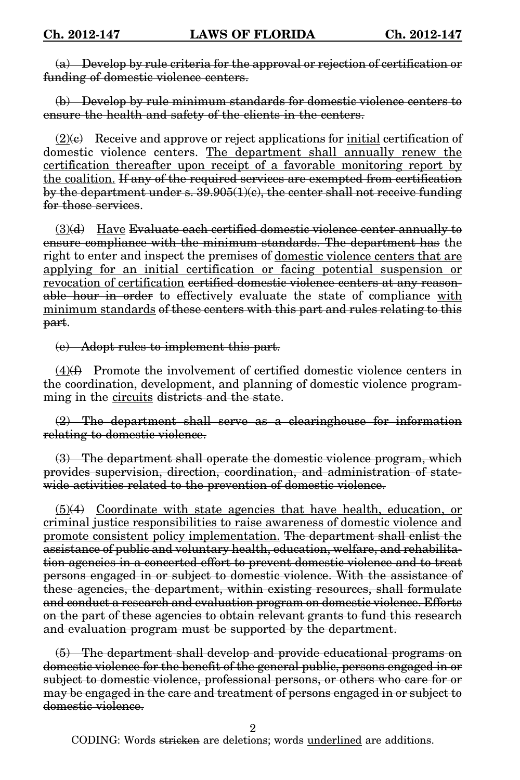(a) Develop by rule criteria for the approval or rejection of certification or funding of domestic violence centers.

(b) Develop by rule minimum standards for domestic violence centers to ensure the health and safety of the clients in the centers.

 $(2)$ (e) Receive and approve or reject applications for initial certification of domestic violence centers. The department shall annually renew the certification thereafter upon receipt of a favorable monitoring report by the coalition. If any of the required services are exempted from certification by the department under s. 39.905(1)(c), the center shall not receive funding for those services.

 $(3)(d)$  Have Evaluate each certified domestic violence center annually to ensure compliance with the minimum standards. The department has the right to enter and inspect the premises of domestic violence centers that are applying for an initial certification or facing potential suspension or revocation of certification certified domestic violence centers at any reasonable hour in order to effectively evaluate the state of compliance with minimum standards of these centers with this part and rules relating to this part.

(e) Adopt rules to implement this part.

 $(4)$ ( $\angle$ ) Promote the involvement of certified domestic violence centers in the coordination, development, and planning of domestic violence programming in the circuits districts and the state.

(2) The department shall serve as a clearinghouse for information relating to domestic violence.

(3) The department shall operate the domestic violence program, which provides supervision, direction, coordination, and administration of statewide activities related to the prevention of domestic violence.

 $(5)(4)$  Coordinate with state agencies that have health, education, or criminal justice responsibilities to raise awareness of domestic violence and promote consistent policy implementation. The department shall enlist the assistance of public and voluntary health, education, welfare, and rehabilitation agencies in a concerted effort to prevent domestic violence and to treat persons engaged in or subject to domestic violence. With the assistance of these agencies, the department, within existing resources, shall formulate and conduct a research and evaluation program on domestic violence. Efforts on the part of these agencies to obtain relevant grants to fund this research and evaluation program must be supported by the department.

(5) The department shall develop and provide educational programs on domestic violence for the benefit of the general public, persons engaged in or subject to domestic violence, professional persons, or others who care for or may be engaged in the care and treatment of persons engaged in or subject to domestic violence.

2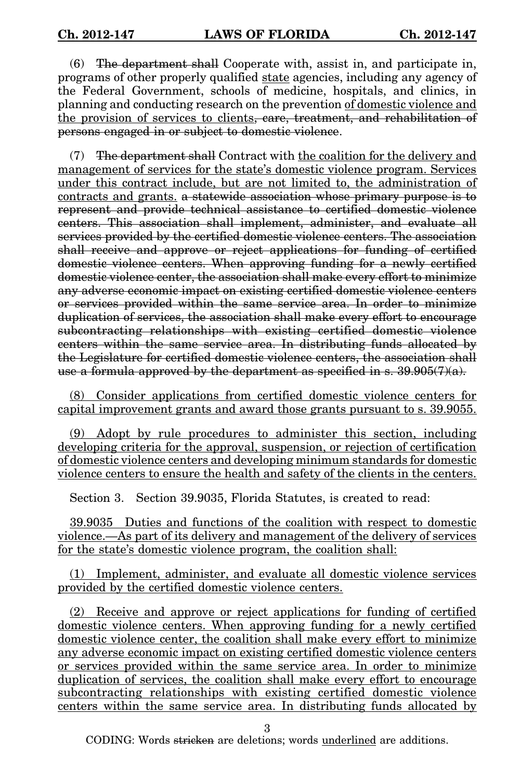(6) The department shall Cooperate with, assist in, and participate in, programs of other properly qualified state agencies, including any agency of the Federal Government, schools of medicine, hospitals, and clinics, in planning and conducting research on the prevention of domestic violence and the provision of services to clients, care, treatment, and rehabilitation of persons engaged in or subject to domestic violence.

(7) The department shall Contract with the coalition for the delivery and management of services for the state's domestic violence program. Services under this contract include, but are not limited to, the administration of contracts and grants. a statewide association whose primary purpose is to represent and provide technical assistance to certified domestic violence centers. This association shall implement, administer, and evaluate all services provided by the certified domestic violence centers. The association shall receive and approve or reject applications for funding of certified domestic violence centers. When approving funding for a newly certified domestic violence center, the association shall make every effort to minimize any adverse economic impact on existing certified domestic violence centers or services provided within the same service area. In order to minimize duplication of services, the association shall make every effort to encourage subcontracting relationships with existing certified domestic violence centers within the same service area. In distributing funds allocated by the Legislature for certified domestic violence centers, the association shall use a formula approved by the department as specified in s.  $39.905(7)(a)$ .

(8) Consider applications from certified domestic violence centers for capital improvement grants and award those grants pursuant to s. 39.9055.

(9) Adopt by rule procedures to administer this section, including developing criteria for the approval, suspension, or rejection of certification of domestic violence centers and developing minimum standards for domestic violence centers to ensure the health and safety of the clients in the centers.

Section 3. Section 39.9035, Florida Statutes, is created to read:

39.9035 Duties and functions of the coalition with respect to domestic violence.—As part of its delivery and management of the delivery of services for the state's domestic violence program, the coalition shall:

(1) Implement, administer, and evaluate all domestic violence services provided by the certified domestic violence centers.

(2) Receive and approve or reject applications for funding of certified domestic violence centers. When approving funding for a newly certified domestic violence center, the coalition shall make every effort to minimize any adverse economic impact on existing certified domestic violence centers or services provided within the same service area. In order to minimize duplication of services, the coalition shall make every effort to encourage subcontracting relationships with existing certified domestic violence centers within the same service area. In distributing funds allocated by

3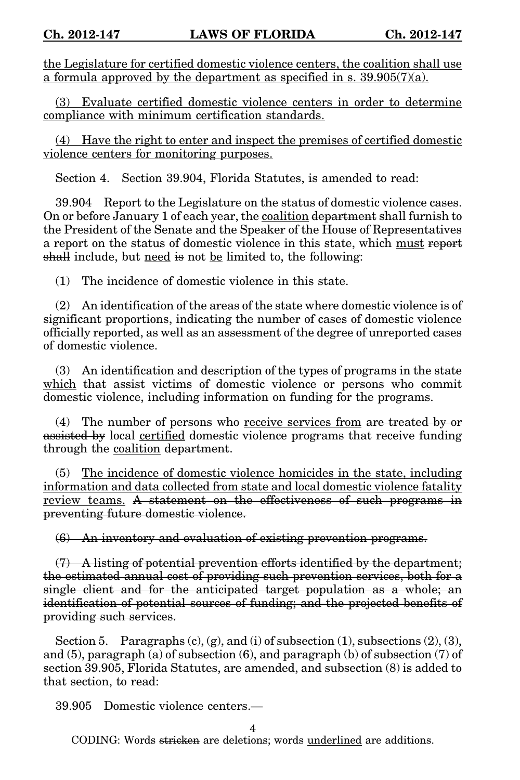the Legislature for certified domestic violence centers, the coalition shall use a formula approved by the department as specified in s. 39.905(7)(a).

(3) Evaluate certified domestic violence centers in order to determine compliance with minimum certification standards.

(4) Have the right to enter and inspect the premises of certified domestic violence centers for monitoring purposes.

Section 4. Section 39.904, Florida Statutes, is amended to read:

39.904 Report to the Legislature on the status of domestic violence cases. On or before January 1 of each year, the coalition department shall furnish to the President of the Senate and the Speaker of the House of Representatives a report on the status of domestic violence in this state, which must report shall include, but need is not be limited to, the following:

(1) The incidence of domestic violence in this state.

(2) An identification of the areas of the state where domestic violence is of significant proportions, indicating the number of cases of domestic violence officially reported, as well as an assessment of the degree of unreported cases of domestic violence.

(3) An identification and description of the types of programs in the state which that assist victims of domestic violence or persons who commit domestic violence, including information on funding for the programs.

(4) The number of persons who receive services from are treated by or assisted by local certified domestic violence programs that receive funding through the coalition department.

(5) The incidence of domestic violence homicides in the state, including information and data collected from state and local domestic violence fatality review teams. A statement on the effectiveness of such programs in preventing future domestic violence.

(6) An inventory and evaluation of existing prevention programs.

 $(7)$  A listing of potential prevention efforts identified by the department; the estimated annual cost of providing such prevention services, both for a single client and for the anticipated target population as a whole; an identification of potential sources of funding; and the projected benefits of providing such services.

Section 5. Paragraphs  $(c)$ ,  $(g)$ , and  $(i)$  of subsection  $(1)$ , subsections  $(2)$ ,  $(3)$ , and (5), paragraph (a) of subsection (6), and paragraph (b) of subsection (7) of section 39.905, Florida Statutes, are amended, and subsection (8) is added to that section, to read:

39.905 Domestic violence centers.—

4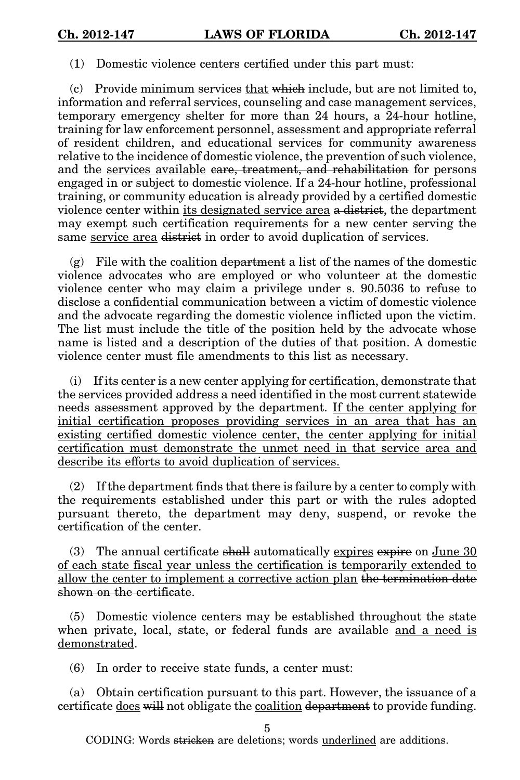(1) Domestic violence centers certified under this part must:

(c) Provide minimum services that which include, but are not limited to, information and referral services, counseling and case management services, temporary emergency shelter for more than 24 hours, a 24-hour hotline, training for law enforcement personnel, assessment and appropriate referral of resident children, and educational services for community awareness relative to the incidence of domestic violence, the prevention of such violence, and the services available care, treatment, and rehabilitation for persons engaged in or subject to domestic violence. If a 24-hour hotline, professional training, or community education is already provided by a certified domestic violence center within its designated service area a district, the department may exempt such certification requirements for a new center serving the same service area district in order to avoid duplication of services.

 $(g)$  File with the coalition department a list of the names of the domestic violence advocates who are employed or who volunteer at the domestic violence center who may claim a privilege under s. 90.5036 to refuse to disclose a confidential communication between a victim of domestic violence and the advocate regarding the domestic violence inflicted upon the victim. The list must include the title of the position held by the advocate whose name is listed and a description of the duties of that position. A domestic violence center must file amendments to this list as necessary.

(i) If its center is a new center applying for certification, demonstrate that the services provided address a need identified in the most current statewide needs assessment approved by the department. If the center applying for initial certification proposes providing services in an area that has an existing certified domestic violence center, the center applying for initial certification must demonstrate the unmet need in that service area and describe its efforts to avoid duplication of services.

(2) If the department finds that there is failure by a center to comply with the requirements established under this part or with the rules adopted pursuant thereto, the department may deny, suspend, or revoke the certification of the center.

(3) The annual certificate shall automatically expires expire on June  $30$ of each state fiscal year unless the certification is temporarily extended to allow the center to implement a corrective action plan the termination date shown on the certificate.

(5) Domestic violence centers may be established throughout the state when private, local, state, or federal funds are available and a need is demonstrated.

(6) In order to receive state funds, a center must:

(a) Obtain certification pursuant to this part. However, the issuance of a certificate does will not obligate the coalition department to provide funding.

5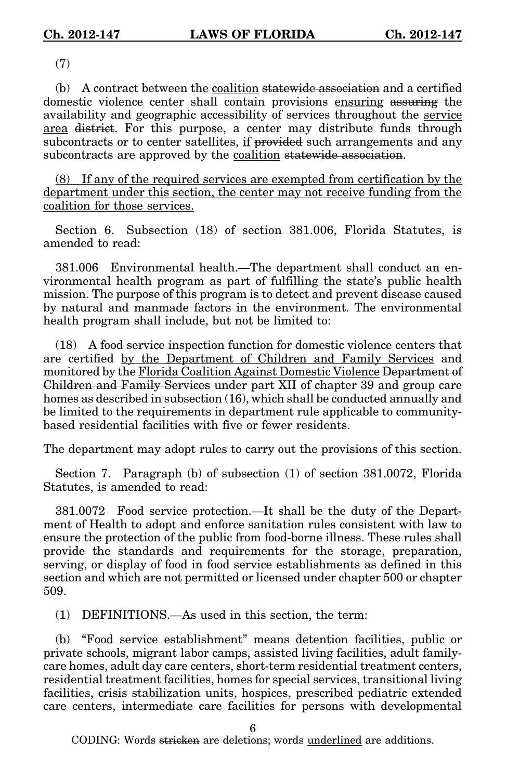(7)

(b) A contract between the coalition statewide association and a certified domestic violence center shall contain provisions ensuring assuring the availability and geographic accessibility of services throughout the service area district. For this purpose, a center may distribute funds through subcontracts or to center satellites, if provided such arrangements and any subcontracts are approved by the coalition statewide association.

(8) If any of the required services are exempted from certification by the department under this section, the center may not receive funding from the coalition for those services.

Section 6. Subsection (18) of section 381.006, Florida Statutes, is amended to read:

381.006 Environmental health.—The department shall conduct an environmental health program as part of fulfilling the state's public health mission. The purpose of this program is to detect and prevent disease caused by natural and manmade factors in the environment. The environmental health program shall include, but not be limited to:

(18) A food service inspection function for domestic violence centers that are certified by the Department of Children and Family Services and monitored by the Florida Coalition Against Domestic Violence Department of Children and Family Services under part XII of chapter 39 and group care homes as described in subsection (16), which shall be conducted annually and be limited to the requirements in department rule applicable to communitybased residential facilities with five or fewer residents.

The department may adopt rules to carry out the provisions of this section.

Section 7. Paragraph (b) of subsection (1) of section 381.0072, Florida Statutes, is amended to read:

381.0072 Food service protection.—It shall be the duty of the Department of Health to adopt and enforce sanitation rules consistent with law to ensure the protection of the public from food-borne illness. These rules shall provide the standards and requirements for the storage, preparation, serving, or display of food in food service establishments as defined in this section and which are not permitted or licensed under chapter 500 or chapter 509.

(1) DEFINITIONS.—As used in this section, the term:

(b) "Food service establishment" means detention facilities, public or private schools, migrant labor camps, assisted living facilities, adult familycare homes, adult day care centers, short-term residential treatment centers, residential treatment facilities, homes for special services, transitional living facilities, crisis stabilization units, hospices, prescribed pediatric extended care centers, intermediate care facilities for persons with developmental

6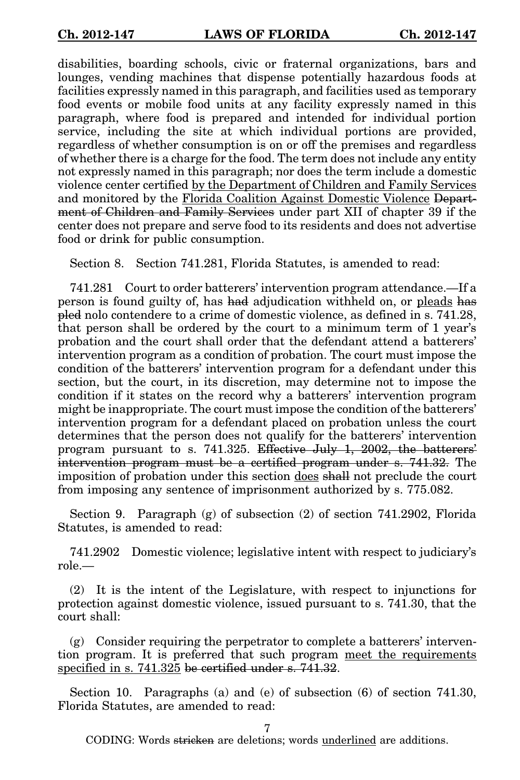disabilities, boarding schools, civic or fraternal organizations, bars and lounges, vending machines that dispense potentially hazardous foods at facilities expressly named in this paragraph, and facilities used as temporary food events or mobile food units at any facility expressly named in this paragraph, where food is prepared and intended for individual portion service, including the site at which individual portions are provided, regardless of whether consumption is on or off the premises and regardless of whether there is a charge for the food. The term does not include any entity not expressly named in this paragraph; nor does the term include a domestic violence center certified by the Department of Children and Family Services and monitored by the Florida Coalition Against Domestic Violence Department of Children and Family Services under part XII of chapter 39 if the center does not prepare and serve food to its residents and does not advertise food or drink for public consumption.

Section 8. Section 741.281, Florida Statutes, is amended to read:

741.281 Court to order batterers' intervention program attendance.—If a person is found guilty of, has had adjudication withheld on, or pleads has pled nolo contendere to a crime of domestic violence, as defined in s. 741.28, that person shall be ordered by the court to a minimum term of 1 year's probation and the court shall order that the defendant attend a batterers' intervention program as a condition of probation. The court must impose the condition of the batterers' intervention program for a defendant under this section, but the court, in its discretion, may determine not to impose the condition if it states on the record why a batterers' intervention program might be inappropriate. The court must impose the condition of the batterers' intervention program for a defendant placed on probation unless the court determines that the person does not qualify for the batterers' intervention program pursuant to s. 741.325. Effective July 1, 2002, the batterers' intervention program must be a certified program under s. 741.32. The imposition of probation under this section does shall not preclude the court from imposing any sentence of imprisonment authorized by s. 775.082.

Section 9. Paragraph (g) of subsection (2) of section 741.2902, Florida Statutes, is amended to read:

741.2902 Domestic violence; legislative intent with respect to judiciary's role.—

(2) It is the intent of the Legislature, with respect to injunctions for protection against domestic violence, issued pursuant to s. 741.30, that the court shall:

(g) Consider requiring the perpetrator to complete a batterers' intervention program. It is preferred that such program meet the requirements specified in s. 741.325 be certified under s. 741.32.

Section 10. Paragraphs (a) and (e) of subsection (6) of section 741.30, Florida Statutes, are amended to read:

7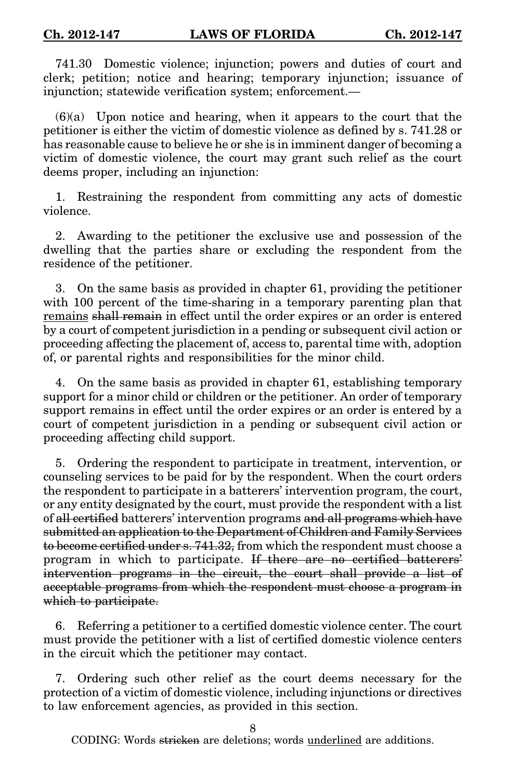741.30 Domestic violence; injunction; powers and duties of court and clerk; petition; notice and hearing; temporary injunction; issuance of injunction; statewide verification system; enforcement.—

(6)(a) Upon notice and hearing, when it appears to the court that the petitioner is either the victim of domestic violence as defined by s. 741.28 or has reasonable cause to believe he or she is in imminent danger of becoming a victim of domestic violence, the court may grant such relief as the court deems proper, including an injunction:

1. Restraining the respondent from committing any acts of domestic violence.

2. Awarding to the petitioner the exclusive use and possession of the dwelling that the parties share or excluding the respondent from the residence of the petitioner.

3. On the same basis as provided in chapter 61, providing the petitioner with 100 percent of the time-sharing in a temporary parenting plan that remains shall remain in effect until the order expires or an order is entered by a court of competent jurisdiction in a pending or subsequent civil action or proceeding affecting the placement of, access to, parental time with, adoption of, or parental rights and responsibilities for the minor child.

4. On the same basis as provided in chapter 61, establishing temporary support for a minor child or children or the petitioner. An order of temporary support remains in effect until the order expires or an order is entered by a court of competent jurisdiction in a pending or subsequent civil action or proceeding affecting child support.

5. Ordering the respondent to participate in treatment, intervention, or counseling services to be paid for by the respondent. When the court orders the respondent to participate in a batterers' intervention program, the court, or any entity designated by the court, must provide the respondent with a list of all certified batterers' intervention programs and all programs which have submitted an application to the Department of Children and Family Services to become certified under s. 741.32, from which the respondent must choose a program in which to participate. If there are no certified batterers' intervention programs in the circuit, the court shall provide a list of acceptable programs from which the respondent must choose a program in which to participate.

6. Referring a petitioner to a certified domestic violence center. The court must provide the petitioner with a list of certified domestic violence centers in the circuit which the petitioner may contact.

7. Ordering such other relief as the court deems necessary for the protection of a victim of domestic violence, including injunctions or directives to law enforcement agencies, as provided in this section.

8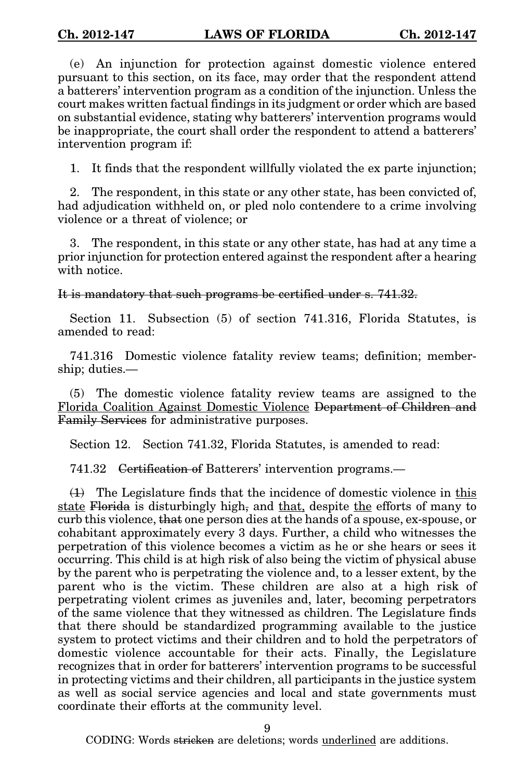(e) An injunction for protection against domestic violence entered pursuant to this section, on its face, may order that the respondent attend a batterers' intervention program as a condition of the injunction. Unless the court makes written factual findings in its judgment or order which are based on substantial evidence, stating why batterers' intervention programs would be inappropriate, the court shall order the respondent to attend a batterers' intervention program if:

1. It finds that the respondent willfully violated the ex parte injunction;

2. The respondent, in this state or any other state, has been convicted of, had adjudication withheld on, or pled nolo contendere to a crime involving violence or a threat of violence; or

3. The respondent, in this state or any other state, has had at any time a prior injunction for protection entered against the respondent after a hearing with notice.

It is mandatory that such programs be certified under s. 741.32.

Section 11. Subsection (5) of section 741.316, Florida Statutes, is amended to read:

741.316 Domestic violence fatality review teams; definition; membership; duties.—

(5) The domestic violence fatality review teams are assigned to the Florida Coalition Against Domestic Violence Department of Children and Family Services for administrative purposes.

Section 12. Section 741.32, Florida Statutes, is amended to read:

741.32 Certification of Batterers' intervention programs.—

 $(1)$  The Legislature finds that the incidence of domestic violence in this state Florida is disturbingly high, and that, despite the efforts of many to curb this violence, that one person dies at the hands of a spouse, ex-spouse, or cohabitant approximately every 3 days. Further, a child who witnesses the perpetration of this violence becomes a victim as he or she hears or sees it occurring. This child is at high risk of also being the victim of physical abuse by the parent who is perpetrating the violence and, to a lesser extent, by the parent who is the victim. These children are also at a high risk of perpetrating violent crimes as juveniles and, later, becoming perpetrators of the same violence that they witnessed as children. The Legislature finds that there should be standardized programming available to the justice system to protect victims and their children and to hold the perpetrators of domestic violence accountable for their acts. Finally, the Legislature recognizes that in order for batterers' intervention programs to be successful in protecting victims and their children, all participants in the justice system as well as social service agencies and local and state governments must coordinate their efforts at the community level.

9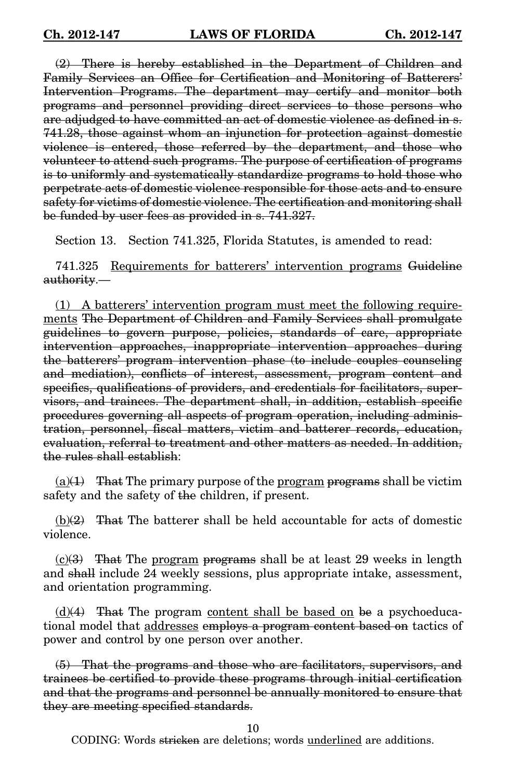(2) There is hereby established in the Department of Children and Family Services an Office for Certification and Monitoring of Batterers' Intervention Programs. The department may certify and monitor both programs and personnel providing direct services to those persons who are adjudged to have committed an act of domestic violence as defined in s. 741.28, those against whom an injunction for protection against domestic violence is entered, those referred by the department, and those who volunteer to attend such programs. The purpose of certification of programs is to uniformly and systematically standardize programs to hold those who perpetrate acts of domestic violence responsible for those acts and to ensure safety for victims of domestic violence. The certification and monitoring shall be funded by user fees as provided in s. 741.327.

Section 13. Section 741.325, Florida Statutes, is amended to read:

741.325 Requirements for batterers' intervention programs Guideline authority.—

(1) A batterers' intervention program must meet the following requirements The Department of Children and Family Services shall promulgate guidelines to govern purpose, policies, standards of care, appropriate intervention approaches, inappropriate intervention approaches during the batterers' program intervention phase (to include couples counseling and mediation), conflicts of interest, assessment, program content and specifics, qualifications of providers, and credentials for facilitators, supervisors, and trainees. The department shall, in addition, establish specific procedures governing all aspects of program operation, including administration, personnel, fiscal matters, victim and batterer records, education, evaluation, referral to treatment and other matters as needed. In addition, the rules shall establish:

 $(a)(1)$  That The primary purpose of the program programs shall be victim safety and the safety of the children, if present.

 $(b)(2)$  That The batterer shall be held accountable for acts of domestic violence.

 $(c)(3)$  That The program programs shall be at least 29 weeks in length and shall include 24 weekly sessions, plus appropriate intake, assessment, and orientation programming.

 $(d)(4)$  That The program content shall be based on be a psychoeducational model that addresses employs a program content based on tactics of power and control by one person over another.

(5) That the programs and those who are facilitators, supervisors, and trainees be certified to provide these programs through initial certification and that the programs and personnel be annually monitored to ensure that they are meeting specified standards.

10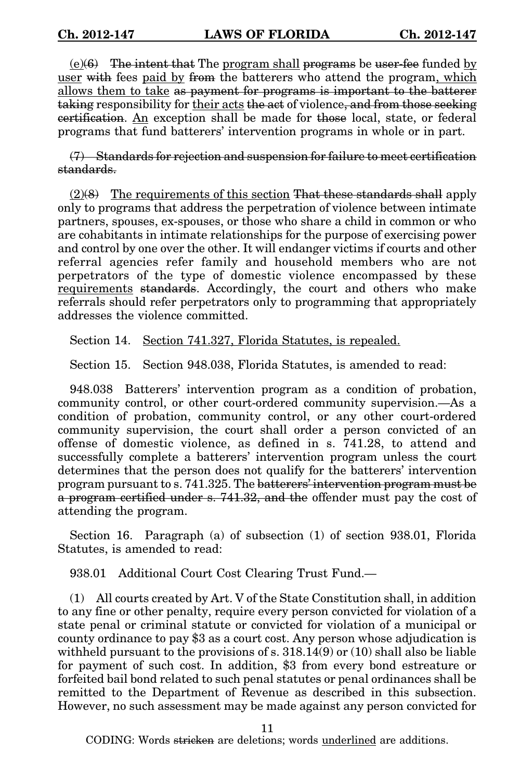$(e)(6)$  The intent that The program shall programs be user-fee funded by user with fees paid by from the batterers who attend the program, which allows them to take as payment for programs is important to the batterer taking responsibility for their acts the act of violence, and from those seeking certification. An exception shall be made for those local, state, or federal programs that fund batterers' intervention programs in whole or in part.

(7) Standards for rejection and suspension for failure to meet certification standards.

 $(2)(8)$  The requirements of this section That these standards shall apply only to programs that address the perpetration of violence between intimate partners, spouses, ex-spouses, or those who share a child in common or who are cohabitants in intimate relationships for the purpose of exercising power and control by one over the other. It will endanger victims if courts and other referral agencies refer family and household members who are not perpetrators of the type of domestic violence encompassed by these requirements standards. Accordingly, the court and others who make referrals should refer perpetrators only to programming that appropriately addresses the violence committed.

Section 14. Section 741.327, Florida Statutes, is repealed.

Section 15. Section 948.038, Florida Statutes, is amended to read:

948.038 Batterers' intervention program as a condition of probation, community control, or other court-ordered community supervision.—As a condition of probation, community control, or any other court-ordered community supervision, the court shall order a person convicted of an offense of domestic violence, as defined in s. 741.28, to attend and successfully complete a batterers' intervention program unless the court determines that the person does not qualify for the batterers' intervention program pursuant to s. 741.325. The batterers' intervention program must be a program certified under s. 741.32, and the offender must pay the cost of attending the program.

Section 16. Paragraph (a) of subsection (1) of section 938.01, Florida Statutes, is amended to read:

938.01 Additional Court Cost Clearing Trust Fund.—

(1) All courts created by Art. V of the State Constitution shall, in addition to any fine or other penalty, require every person convicted for violation of a state penal or criminal statute or convicted for violation of a municipal or county ordinance to pay \$3 as a court cost. Any person whose adjudication is with held pursuant to the provisions of s.  $318.14(9)$  or  $(10)$  shall also be liable for payment of such cost. In addition, \$3 from every bond estreature or forfeited bail bond related to such penal statutes or penal ordinances shall be remitted to the Department of Revenue as described in this subsection. However, no such assessment may be made against any person convicted for

11